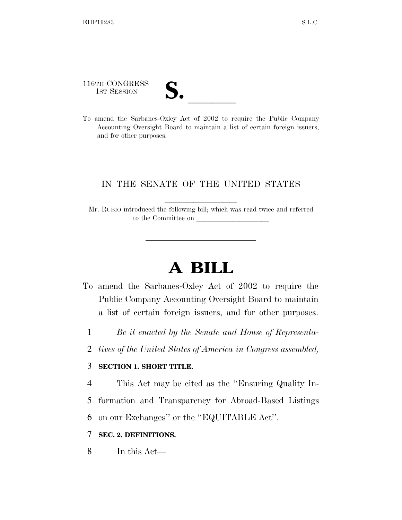116TH CONGRESS

116TH CONGRESS<br>
1ST SESSION<br>
To amend the Sarbanes-Oxley Act of 2002 to require the Public Company Accounting Oversight Board to maintain a list of certain foreign issuers, and for other purposes.

## IN THE SENATE OF THE UNITED STATES

Mr. RUBIO introduced the following bill; which was read twice and referred to the Committee on

## **A BILL**

- To amend the Sarbanes-Oxley Act of 2002 to require the Public Company Accounting Oversight Board to maintain a list of certain foreign issuers, and for other purposes.
	- 1 *Be it enacted by the Senate and House of Representa-*
	- 2 *tives of the United States of America in Congress assembled,*

## 3 **SECTION 1. SHORT TITLE.**

4 This Act may be cited as the ''Ensuring Quality In-

5 formation and Transparency for Abroad-Based Listings

6 on our Exchanges'' or the ''EQUITABLE Act''.

## 7 **SEC. 2. DEFINITIONS.**

8 In this Act—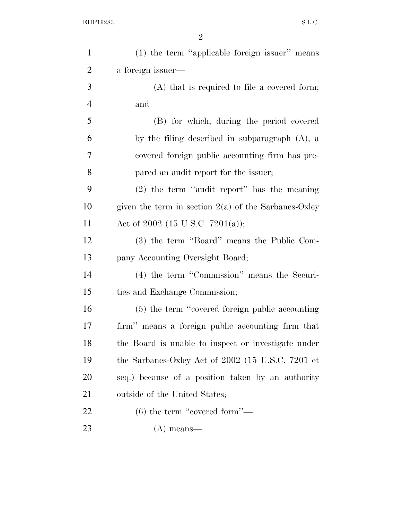| $\mathbf{1}$   | (1) the term "applicable foreign issuer" means         |
|----------------|--------------------------------------------------------|
| $\overline{c}$ | a foreign issuer—                                      |
| 3              | $(A)$ that is required to file a covered form;         |
| $\overline{4}$ | and                                                    |
| 5              | (B) for which, during the period covered               |
| 6              | by the filing described in subparagraph $(A)$ , a      |
| 7              | covered foreign public accounting firm has pre-        |
| 8              | pared an audit report for the issuer;                  |
| 9              | $(2)$ the term "audit report" has the meaning          |
| 10             | given the term in section $2(a)$ of the Sarbanes-Oxley |
| 11             | Act of 2002 (15 U.S.C. 7201(a));                       |
| 12             | (3) the term "Board" means the Public Com-             |
| 13             | pany Accounting Oversight Board;                       |
| 14             | (4) the term "Commission" means the Securi-            |
| 15             | ties and Exchange Commission;                          |
| 16             | (5) the term "covered foreign public accounting        |
| 17             | firm" means a foreign public accounting firm that      |
| 18             | the Board is unable to inspect or investigate under    |
| 19             | the Sarbanes-Oxley Act of 2002 (15 U.S.C. 7201 et      |
| 20             | seq.) because of a position taken by an authority      |
| 21             | outside of the United States;                          |
| 22             | $(6)$ the term "covered form"—                         |
| 23             | $(A)$ means—                                           |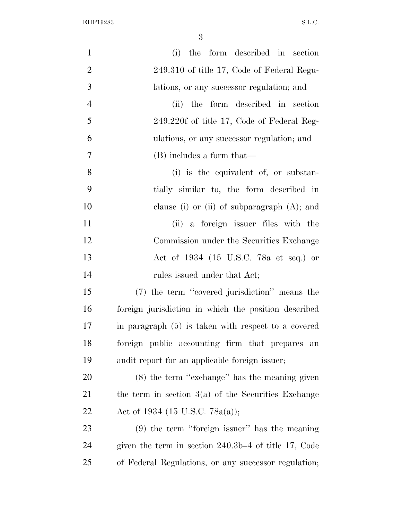| $\mathbf{1}$   | (i) the form described in section                      |
|----------------|--------------------------------------------------------|
| $\overline{2}$ | 249.310 of title 17, Code of Federal Regu-             |
| 3              | lations, or any successor regulation; and              |
| $\overline{4}$ | (ii) the form described in section                     |
| 5              | 249.220f of title 17, Code of Federal Reg-             |
| 6              | ulations, or any successor regulation; and             |
| $\overline{7}$ | (B) includes a form that—                              |
| 8              | (i) is the equivalent of, or substan-                  |
| 9              | tially similar to, the form described in               |
| 10             | clause (i) or (ii) of subparagraph $(A)$ ; and         |
| 11             | (ii) a foreign issuer files with the                   |
| 12             | Commission under the Securities Exchange               |
| 13             | Act of 1934 (15 U.S.C. 78a et seq.) or                 |
| 14             | rules issued under that Act;                           |
| 15             | (7) the term "covered jurisdiction" means the          |
| 16             | foreign jurisdiction in which the position described   |
| 17             | in paragraph (5) is taken with respect to a covered    |
| 18             | foreign public accounting firm that prepares an        |
| 19             | audit report for an applicable foreign issuer;         |
| 20             | $(8)$ the term "exchange" has the meaning given        |
| 21             | the term in section $3(a)$ of the Securities Exchange  |
| 22             | Act of 1934 (15 U.S.C. 78a(a));                        |
| 23             | $(9)$ the term "foreign issuer" has the meaning        |
| 24             | given the term in section $240.3b-4$ of title 17, Code |
| 25             | of Federal Regulations, or any successor regulation;   |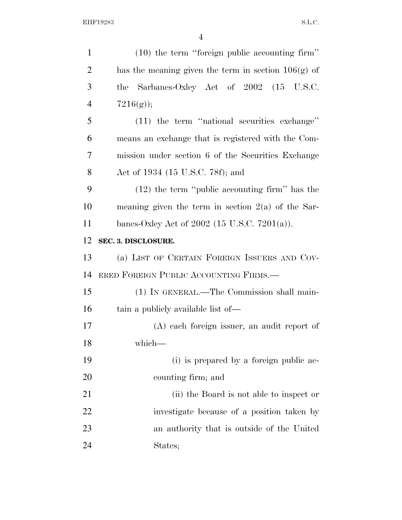| $\mathbf{1}$   | $(10)$ the term "foreign public accounting firm"      |
|----------------|-------------------------------------------------------|
| $\overline{2}$ | has the meaning given the term in section $106(g)$ of |
| 3              | Sarbanes-Oxley Act of 2002 (15 U.S.C.<br>the          |
| $\overline{4}$ | $7216(g)$ ;                                           |
| 5              | $(11)$ the term "national securities exchange"        |
| 6              | means an exchange that is registered with the Com-    |
| 7              | mission under section 6 of the Securities Exchange    |
| 8              | Act of 1934 (15 U.S.C. 78f); and                      |
| 9              | $(12)$ the term "public accounting firm" has the      |
| 10             | meaning given the term in section $2(a)$ of the Sar-  |
| 11             | banes-Oxley Act of 2002 (15 U.S.C. 7201(a)).          |
| 12             | SEC. 3. DISCLOSURE.                                   |
| 13             | (a) LIST OF CERTAIN FOREIGN ISSUERS AND COV-          |
|                |                                                       |
| 14             | ERED FOREIGN PUBLIC ACCOUNTING FIRMS.                 |
| 15             | (1) IN GENERAL.—The Commission shall main-            |
| 16             | tain a publicly available list of—                    |
| 17             | (A) each foreign issuer, an audit report of           |
| 18             | which-                                                |
| 19             | (i) is prepared by a foreign public ac-               |
| 20             | counting firm; and                                    |
| 21             | (ii) the Board is not able to inspect or              |
| 22             | investigate because of a position taken by            |
| 23             | an authority that is outside of the United            |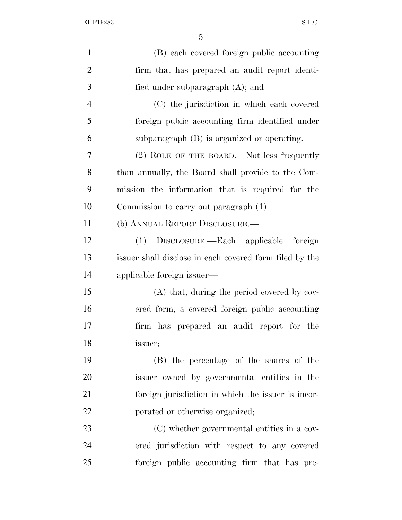| $\mathbf{1}$   | (B) each covered foreign public accounting              |
|----------------|---------------------------------------------------------|
| $\overline{2}$ | firm that has prepared an audit report identi-          |
| 3              | fied under subparagraph $(A)$ ; and                     |
| $\overline{4}$ | (C) the jurisdiction in which each covered              |
| 5              | foreign public accounting firm identified under         |
| 6              | subparagraph (B) is organized or operating.             |
| 7              | $(2)$ ROLE OF THE BOARD.—Not less frequently            |
| 8              | than annually, the Board shall provide to the Com-      |
| 9              | mission the information that is required for the        |
| 10             | Commission to carry out paragraph (1).                  |
| 11             | (b) ANNUAL REPORT DISCLOSURE.—                          |
| 12             | (1) DISCLOSURE.—Each applicable foreign                 |
| 13             | issuer shall disclose in each covered form filed by the |
| 14             | applicable foreign issuer—                              |
| 15             | (A) that, during the period covered by cov-             |
| 16             | ered form, a covered foreign public accounting          |
| 17             | firm has prepared an audit report for the               |
| 18             | issuer;                                                 |
| 19             | (B) the percentage of the shares of the                 |
| 20             | issuer owned by governmental entities in the            |
| 21             | foreign jurisdiction in which the issuer is incor-      |
| 22             | porated or otherwise organized;                         |
| 23             | (C) whether governmental entities in a cov-             |
| 24             | ered jurisdiction with respect to any covered           |
| 25             | foreign public accounting firm that has pre-            |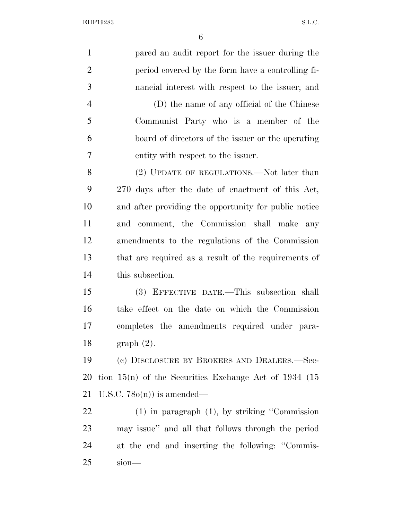| $\mathbf{1}$   | pared an audit report for the issuer during the          |
|----------------|----------------------------------------------------------|
| $\overline{2}$ | period covered by the form have a controlling fi-        |
| 3              | nancial interest with respect to the issuer; and         |
| $\overline{4}$ | (D) the name of any official of the Chinese              |
| 5              | Communist Party who is a member of the                   |
| 6              | board of directors of the issuer or the operating        |
| 7              | entity with respect to the issuer.                       |
| 8              | (2) UPDATE OF REGULATIONS.—Not later than                |
| 9              | 270 days after the date of enactment of this Act,        |
| 10             | and after providing the opportunity for public notice    |
| 11             | and comment, the Commission shall make<br>any            |
| 12             | amendments to the regulations of the Commission          |
| 13             | that are required as a result of the requirements of     |
| 14             | this subsection.                                         |
| 15             | (3) EFFECTIVE DATE.—This subsection shall                |
| 16             | take effect on the date on which the Commission          |
| 17             | completes the amendments required under para-            |
| 18             | graph(2).                                                |
| 19             | (c) DISCLOSURE BY BROKERS AND DEALERS.—Sec-              |
| 20             | tion $15(n)$ of the Securities Exchange Act of 1934 (15) |
| 21             | U.S.C. $78o(n)$ is amended—                              |
| 22             | $(1)$ in paragraph $(1)$ , by striking "Commission       |
| 23             | may issue" and all that follows through the period       |
| 24             | at the end and inserting the following: "Commis-         |
|                |                                                          |

sion—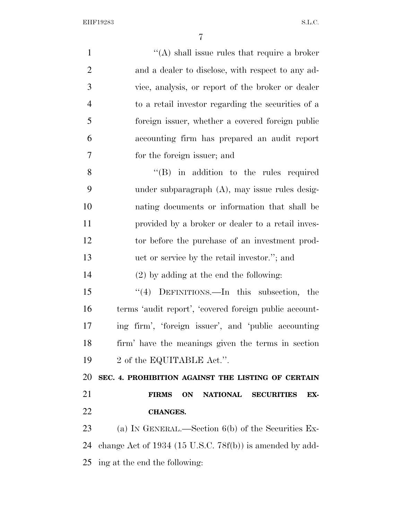| $\mathbf{1}$   | "(A) shall issue rules that require a broker                      |
|----------------|-------------------------------------------------------------------|
| $\overline{2}$ | and a dealer to disclose, with respect to any ad-                 |
| 3              | vice, analysis, or report of the broker or dealer                 |
| $\overline{4}$ | to a retail investor regarding the securities of a                |
| 5              | foreign issuer, whether a covered foreign public                  |
| 6              | accounting firm has prepared an audit report                      |
| 7              | for the foreign issuer; and                                       |
| 8              | $\lq\lq$ (B) in addition to the rules required                    |
| 9              | under subparagraph (A), may issue rules desig-                    |
| 10             | nating documents or information that shall be                     |
| 11             | provided by a broker or dealer to a retail inves-                 |
| 12             | tor before the purchase of an investment prod-                    |
| 13             | uct or service by the retail investor."; and                      |
| 14             | $(2)$ by adding at the end the following:                         |
| 15             | "(4) DEFINITIONS.—In this subsection, the                         |
| 16             | terms 'audit report', 'covered foreign public account-            |
| 17             | ing firm', 'foreign issuer', and 'public accounting               |
| 18             | firm' have the meanings given the terms in section                |
| 19             | 2 of the EQUITABLE Act.".                                         |
| 20             | SEC. 4. PROHIBITION AGAINST THE LISTING OF CERTAIN                |
| 21             | <b>FIRMS</b><br>ON<br><b>NATIONAL</b><br><b>SECURITIES</b><br>EX- |
| 22             | <b>CHANGES.</b>                                                   |
| 23             | (a) IN GENERAL.—Section $6(b)$ of the Securities Ex-              |
| 24             | change Act of $1934$ (15 U.S.C. 78f(b)) is amended by add-        |
| 25             | ing at the end the following:                                     |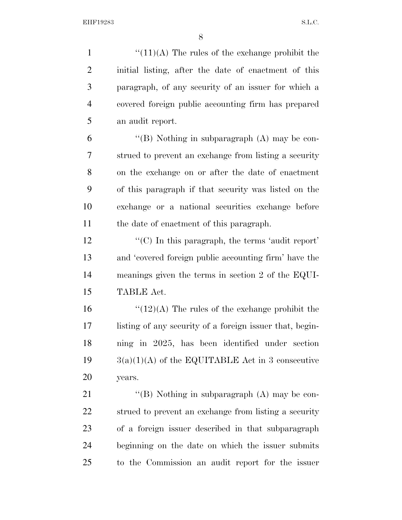$\frac{((11)(A))}{(11)(A)}$  The rules of the exchange prohibit the initial listing, after the date of enactment of this paragraph, of any security of an issuer for which a covered foreign public accounting firm has prepared an audit report.

 $\langle$  (B) Nothing in subparagraph (A) may be con- strued to prevent an exchange from listing a security on the exchange on or after the date of enactment of this paragraph if that security was listed on the exchange or a national securities exchange before the date of enactment of this paragraph.

 $\mathcal{L}^{\prime\prime}(C)$  In this paragraph, the terms 'audit report' and 'covered foreign public accounting firm' have the meanings given the terms in section 2 of the EQUI-TABLE Act.

 $\frac{1}{2}(12)(A)$  The rules of the exchange prohibit the listing of any security of a foreign issuer that, begin- ning in 2025, has been identified under section  $3(a)(1)(A)$  of the EQUITABLE Act in 3 consecutive years.

21 "(B) Nothing in subparagraph (A) may be con- strued to prevent an exchange from listing a security of a foreign issuer described in that subparagraph beginning on the date on which the issuer submits to the Commission an audit report for the issuer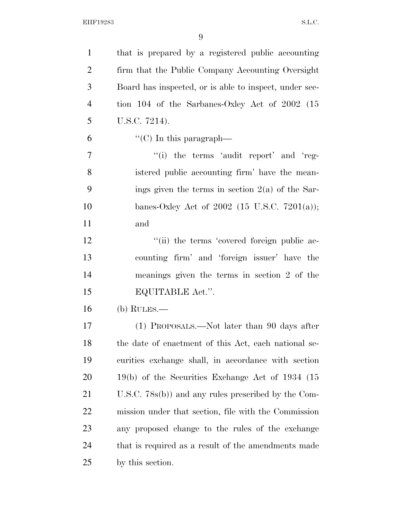| $\mathbf{1}$   | that is prepared by a registered public accounting     |
|----------------|--------------------------------------------------------|
| $\overline{2}$ | firm that the Public Company Accounting Oversight      |
| 3              | Board has inspected, or is able to inspect, under sec- |
| $\overline{4}$ | tion 104 of the Sarbanes-Oxley Act of $2002$ (15       |
| 5              | U.S.C. 7214).                                          |
| 6              | $\lq\lq$ (C) In this paragraph—                        |
| 7              | $``(i)$ the terms 'audit report' and 'reg-             |
| 8              | istered public accounting firm' have the mean-         |
| 9              | ings given the terms in section $2(a)$ of the Sar-     |
| 10             | banes-Oxley Act of 2002 (15 U.S.C. 7201(a));           |
| 11             | and                                                    |
| 12             | "(ii) the terms 'covered foreign public ac-            |
| 13             | counting firm' and 'foreign issuer' have the           |
| 14             | meanings given the terms in section 2 of the           |
| 15             | EQUITABLE Act.".                                       |
| 16             | $(b)$ RULES.—                                          |
| 17             | (1) PROPOSALS.—Not later than 90 days after            |
| 18             | the date of enactment of this Act, each national se-   |
| 19             | curities exchange shall, in accordance with section    |
| 20             | $19(b)$ of the Securities Exchange Act of 1934 (15     |
| 21             | U.S.C. $78s(b)$ and any rules prescribed by the Com-   |
| 22             | mission under that section, file with the Commission   |
| 23             | any proposed change to the rules of the exchange       |
| 24             | that is required as a result of the amendments made    |
| 25             | by this section.                                       |